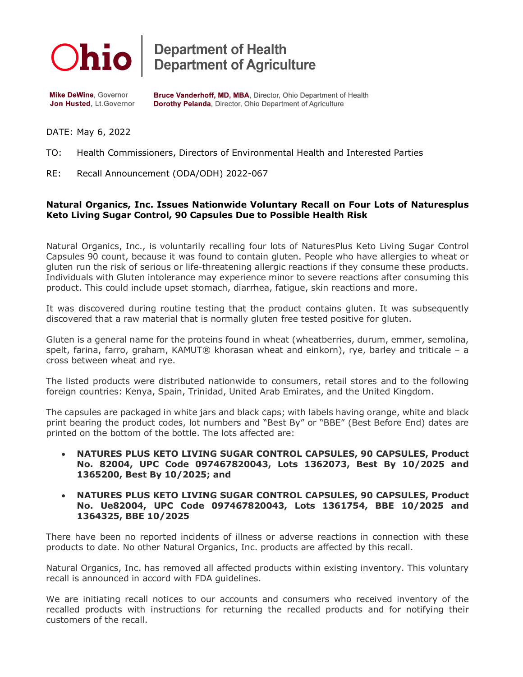

**Department of Health<br>Department of Agriculture** 

**Mike DeWine, Governor** Jon Husted, Lt.Governor Bruce Vanderhoff, MD, MBA, Director, Ohio Department of Health Dorothy Pelanda, Director, Ohio Department of Agriculture

DATE: May 6, 2022

TO: Health Commissioners, Directors of Environmental Health and Interested Parties

RE: Recall Announcement (ODA/ODH) 2022-067

## **Natural Organics, Inc. Issues Nationwide Voluntary Recall on Four Lots of Naturesplus Keto Living Sugar Control, 90 Capsules Due to Possible Health Risk**

Natural Organics, Inc., is voluntarily recalling four lots of NaturesPlus Keto Living Sugar Control Capsules 90 count, because it was found to contain gluten. People who have allergies to wheat or gluten run the risk of serious or life-threatening allergic reactions if they consume these products. Individuals with Gluten intolerance may experience minor to severe reactions after consuming this product. This could include upset stomach, diarrhea, fatigue, skin reactions and more.

It was discovered during routine testing that the product contains gluten. It was subsequently discovered that a raw material that is normally gluten free tested positive for gluten.

Gluten is a general name for the proteins found in wheat (wheatberries, durum, emmer, semolina, spelt, farina, farro, graham, KAMUT® khorasan wheat and einkorn), rye, barley and triticale – a cross between wheat and rye.

The listed products were distributed nationwide to consumers, retail stores and to the following foreign countries: Kenya, Spain, Trinidad, United Arab Emirates, and the United Kingdom.

The capsules are packaged in white jars and black caps; with labels having orange, white and black print bearing the product codes, lot numbers and "Best By" or "BBE" (Best Before End) dates are printed on the bottom of the bottle. The lots affected are:

• **NATURES PLUS KETO LIVING SUGAR CONTROL CAPSULES, 90 CAPSULES, Product No. 82004, UPC Code 097467820043, Lots 1362073, Best By 10/2025 and 1365200, Best By 10/2025; and**

## • **NATURES PLUS KETO LIVING SUGAR CONTROL CAPSULES, 90 CAPSULES, Product No. Ue82004, UPC Code 097467820043, Lots 1361754, BBE 10/2025 and 1364325, BBE 10/2025**

There have been no reported incidents of illness or adverse reactions in connection with these products to date. No other Natural Organics, Inc. products are affected by this recall.

Natural Organics, Inc. has removed all affected products within existing inventory. This voluntary recall is announced in accord with FDA guidelines.

We are initiating recall notices to our accounts and consumers who received inventory of the recalled products with instructions for returning the recalled products and for notifying their customers of the recall.